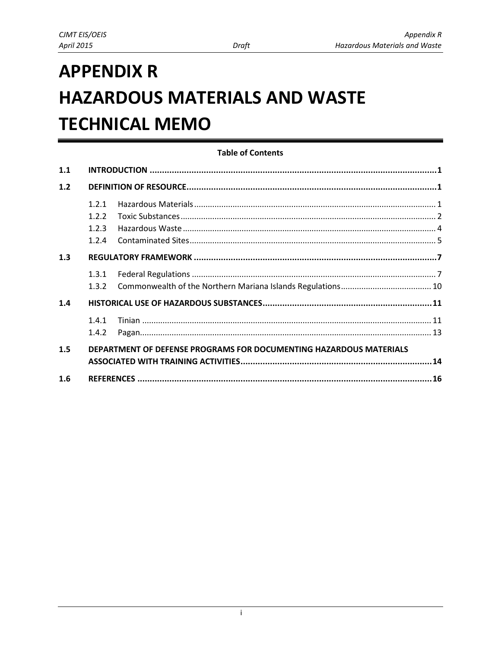# **APPENDIX R HAZARDOUS MATERIALS AND WASTE TECHNICAL MEMO**

| <b>Table of Contents</b> |                                                                    |  |  |
|--------------------------|--------------------------------------------------------------------|--|--|
| 1.1                      |                                                                    |  |  |
| 1.2                      |                                                                    |  |  |
|                          | 1.2.1<br>1.2.2<br>1.2.3<br>1.2.4                                   |  |  |
| 1.3                      |                                                                    |  |  |
|                          | 1.3.1<br>1.3.2                                                     |  |  |
| 1.4                      |                                                                    |  |  |
|                          | 1.4.1<br>1.4.2                                                     |  |  |
| 1.5                      | DEPARTMENT OF DEFENSE PROGRAMS FOR DOCUMENTING HAZARDOUS MATERIALS |  |  |
| 1.6                      |                                                                    |  |  |

Draft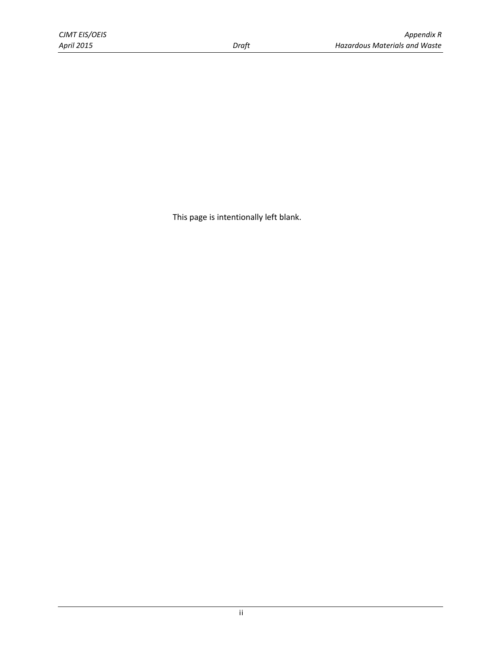This page is intentionally left blank.

ii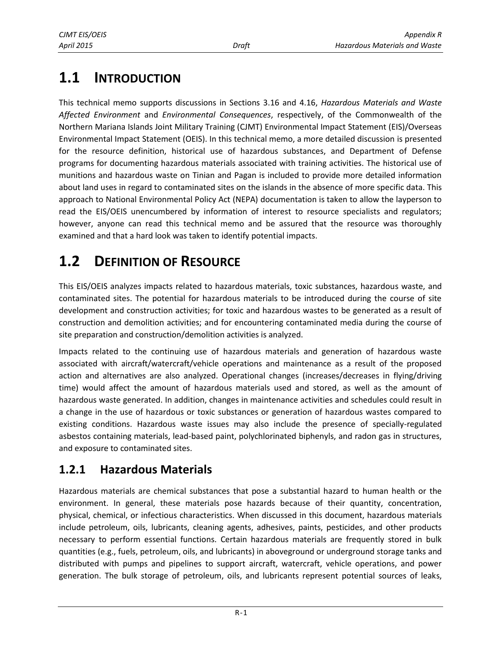### <span id="page-2-0"></span>**1.1 INTRODUCTION**

This technical memo supports discussions in Sections 3.16 and 4.16, *Hazardous Materials and Waste Affected Environment* and *Environmental Consequences*, respectively, of the Commonwealth of the Northern Mariana Islands Joint Military Training (CJMT) Environmental Impact Statement (EIS)/Overseas Environmental Impact Statement (OEIS). In this technical memo, a more detailed discussion is presented for the resource definition, historical use of hazardous substances, and Department of Defense programs for documenting hazardous materials associated with training activities. The historical use of munitions and hazardous waste on Tinian and Pagan is included to provide more detailed information about land uses in regard to contaminated sites on the islands in the absence of more specific data. This approach to National Environmental Policy Act (NEPA) documentation is taken to allow the layperson to read the EIS/OEIS unencumbered by information of interest to resource specialists and regulators; however, anyone can read this technical memo and be assured that the resource was thoroughly examined and that a hard look was taken to identify potential impacts.

### <span id="page-2-1"></span>**1.2 DEFINITION OF RESOURCE**

This EIS/OEIS analyzes impacts related to hazardous materials, toxic substances, hazardous waste, and contaminated sites. The potential for hazardous materials to be introduced during the course of site development and construction activities; for toxic and hazardous wastes to be generated as a result of construction and demolition activities; and for encountering contaminated media during the course of site preparation and construction/demolition activities is analyzed.

Impacts related to the continuing use of hazardous materials and generation of hazardous waste associated with aircraft/watercraft/vehicle operations and maintenance as a result of the proposed action and alternatives are also analyzed. Operational changes (increases/decreases in flying/driving time) would affect the amount of hazardous materials used and stored, as well as the amount of hazardous waste generated. In addition, changes in maintenance activities and schedules could result in a change in the use of hazardous or toxic substances or generation of hazardous wastes compared to existing conditions. Hazardous waste issues may also include the presence of specially-regulated asbestos containing materials, lead-based paint, polychlorinated biphenyls, and radon gas in structures, and exposure to contaminated sites.

#### <span id="page-2-2"></span>**1.2.1 Hazardous Materials**

Hazardous materials are chemical substances that pose a substantial hazard to human health or the environment. In general, these materials pose hazards because of their quantity, concentration, physical, chemical, or infectious characteristics. When discussed in this document, hazardous materials include petroleum, oils, lubricants, cleaning agents, adhesives, paints, pesticides, and other products necessary to perform essential functions. Certain hazardous materials are frequently stored in bulk quantities (e.g., fuels, petroleum, oils, and lubricants) in aboveground or underground storage tanks and distributed with pumps and pipelines to support aircraft, watercraft, vehicle operations, and power generation. The bulk storage of petroleum, oils, and lubricants represent potential sources of leaks,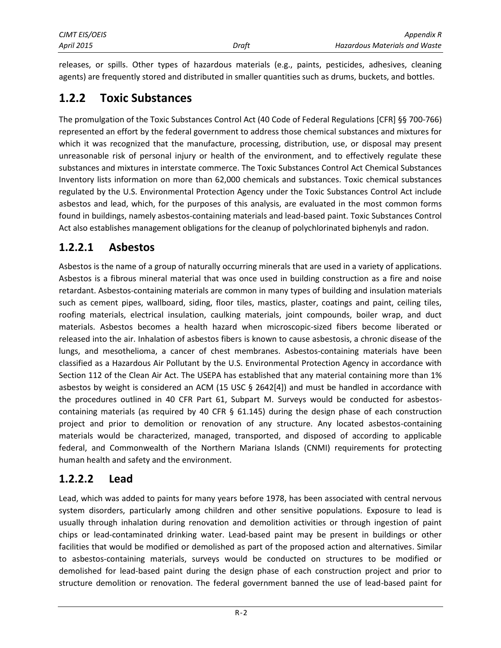releases, or spills. Other types of hazardous materials (e.g., paints, pesticides, adhesives, cleaning agents) are frequently stored and distributed in smaller quantities such as drums, buckets, and bottles.

#### <span id="page-3-0"></span>**1.2.2 Toxic Substances**

The promulgation of the Toxic Substances Control Act (40 Code of Federal Regulations [CFR] §§ 700-766) represented an effort by the federal government to address those chemical substances and mixtures for which it was recognized that the manufacture, processing, distribution, use, or disposal may present unreasonable risk of personal injury or health of the environment, and to effectively regulate these substances and mixtures in interstate commerce. The Toxic Substances Control Act Chemical Substances Inventory lists information on more than 62,000 chemicals and substances. Toxic chemical substances regulated by the U.S. Environmental Protection Agency under the Toxic Substances Control Act include asbestos and lead, which, for the purposes of this analysis, are evaluated in the most common forms found in buildings, namely asbestos-containing materials and lead-based paint. Toxic Substances Control Act also establishes management obligations for the cleanup of polychlorinated biphenyls and radon.

#### **1.2.2.1 Asbestos**

Asbestos is the name of a group of naturally occurring minerals that are used in a variety of applications. Asbestos is a fibrous mineral material that was once used in building construction as a fire and noise retardant. Asbestos-containing materials are common in many types of building and insulation materials such as cement pipes, wallboard, siding, floor tiles, mastics, plaster, coatings and paint, ceiling tiles, roofing materials, electrical insulation, caulking materials, joint compounds, boiler wrap, and duct materials. Asbestos becomes a health hazard when microscopic-sized fibers become liberated or released into the air. Inhalation of asbestos fibers is known to cause asbestosis, a chronic disease of the lungs, and mesothelioma, a cancer of chest membranes. Asbestos-containing materials have been classified as a Hazardous Air Pollutant by the U.S. Environmental Protection Agency in accordance with Section 112 of the Clean Air Act. The USEPA has established that any material containing more than 1% asbestos by weight is considered an ACM (15 USC § 2642[4]) and must be handled in accordance with the procedures outlined in 40 CFR Part 61, Subpart M. Surveys would be conducted for asbestoscontaining materials (as required by 40 CFR  $\S$  61.145) during the design phase of each construction project and prior to demolition or renovation of any structure. Any located asbestos-containing materials would be characterized, managed, transported, and disposed of according to applicable federal, and Commonwealth of the Northern Mariana Islands (CNMI) requirements for protecting human health and safety and the environment.

#### **1.2.2.2 Lead**

Lead, which was added to paints for many years before 1978, has been associated with central nervous system disorders, particularly among children and other sensitive populations. Exposure to lead is usually through inhalation during renovation and demolition activities or through ingestion of paint chips or lead-contaminated drinking water. Lead-based paint may be present in buildings or other facilities that would be modified or demolished as part of the proposed action and alternatives. Similar to asbestos-containing materials, surveys would be conducted on structures to be modified or demolished for lead-based paint during the design phase of each construction project and prior to structure demolition or renovation. The federal government banned the use of lead-based paint for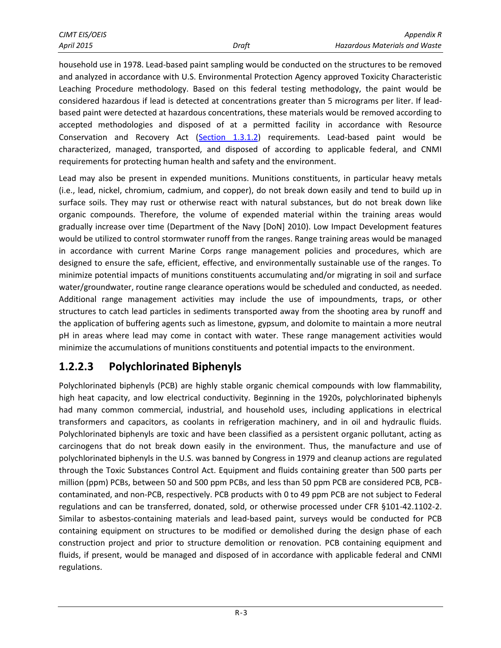household use in 1978. Lead-based paint sampling would be conducted on the structures to be removed and analyzed in accordance with U.S. Environmental Protection Agency approved Toxicity Characteristic Leaching Procedure methodology. Based on this federal testing methodology, the paint would be considered hazardous if lead is detected at concentrations greater than 5 micrograms per liter. If leadbased paint were detected at hazardous concentrations, these materials would be removed according to accepted methodologies and disposed of at a permitted facility in accordance with Resource Conservation and Recovery Act [\(Section 1.3.1.2\)](#page-8-2) requirements. Lead-based paint would be characterized, managed, transported, and disposed of according to applicable federal, and CNMI requirements for protecting human health and safety and the environment.

Lead may also be present in expended munitions. Munitions constituents, in particular heavy metals (i.e., lead, nickel, chromium, cadmium, and copper), do not break down easily and tend to build up in surface soils. They may rust or otherwise react with natural substances, but do not break down like organic compounds. Therefore, the volume of expended material within the training areas would gradually increase over time (Department of the Navy [DoN] 2010). Low Impact Development features would be utilized to control stormwater runoff from the ranges. Range training areas would be managed in accordance with current Marine Corps range management policies and procedures, which are designed to ensure the safe, efficient, effective, and environmentally sustainable use of the ranges. To minimize potential impacts of munitions constituents accumulating and/or migrating in soil and surface water/groundwater, routine range clearance operations would be scheduled and conducted, as needed. Additional range management activities may include the use of impoundments, traps, or other structures to catch lead particles in sediments transported away from the shooting area by runoff and the application of buffering agents such as limestone, gypsum, and dolomite to maintain a more neutral pH in areas where lead may come in contact with water. These range management activities would minimize the accumulations of munitions constituents and potential impacts to the environment.

#### **1.2.2.3 Polychlorinated Biphenyls**

Polychlorinated biphenyls (PCB) are highly stable organic chemical compounds with low flammability, high heat capacity, and low electrical conductivity. Beginning in the 1920s, polychlorinated biphenyls had many common commercial, industrial, and household uses, including applications in electrical transformers and capacitors, as coolants in refrigeration machinery, and in oil and hydraulic fluids. Polychlorinated biphenyls are toxic and have been classified as a persistent organic pollutant, acting as carcinogens that do not break down easily in the environment. Thus, the manufacture and use of polychlorinated biphenyls in the U.S. was banned by Congress in 1979 and cleanup actions are regulated through the Toxic Substances Control Act. Equipment and fluids containing greater than 500 parts per million (ppm) PCBs, between 50 and 500 ppm PCBs, and less than 50 ppm PCB are considered PCB, PCBcontaminated, and non-PCB, respectively. PCB products with 0 to 49 ppm PCB are not subject to Federal regulations and can be transferred, donated, sold, or otherwise processed under CFR §101-42.1102-2. Similar to asbestos-containing materials and lead-based paint, surveys would be conducted for PCB containing equipment on structures to be modified or demolished during the design phase of each construction project and prior to structure demolition or renovation. PCB containing equipment and fluids, if present, would be managed and disposed of in accordance with applicable federal and CNMI regulations.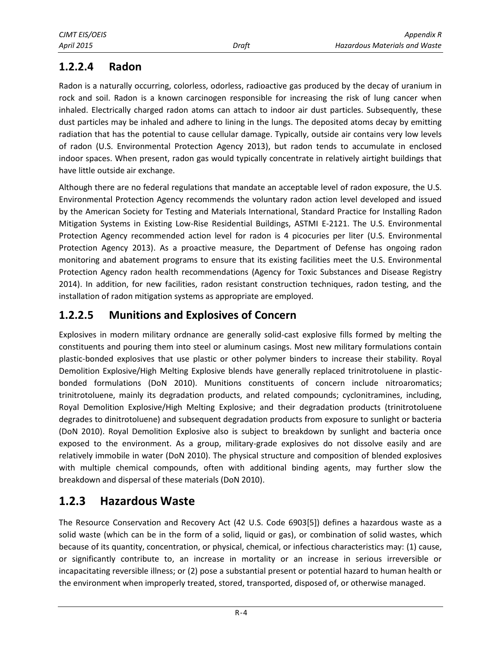#### **1.2.2.4 Radon**

Radon is a naturally occurring, colorless, odorless, radioactive gas produced by the decay of uranium in rock and soil. Radon is a known carcinogen responsible for increasing the risk of lung cancer when inhaled. Electrically charged radon atoms can attach to indoor air dust particles. Subsequently, these dust particles may be inhaled and adhere to lining in the lungs. The deposited atoms decay by emitting radiation that has the potential to cause cellular damage. Typically, outside air contains very low levels of radon (U.S. Environmental Protection Agency 2013), but radon tends to accumulate in enclosed indoor spaces. When present, radon gas would typically concentrate in relatively airtight buildings that have little outside air exchange.

Although there are no federal regulations that mandate an acceptable level of radon exposure, the U.S. Environmental Protection Agency recommends the voluntary radon action level developed and issued by the American Society for Testing and Materials International, Standard Practice for Installing Radon Mitigation Systems in Existing Low-Rise Residential Buildings, ASTMI E-2121. The U.S. Environmental Protection Agency recommended action level for radon is 4 picocuries per liter (U.S. Environmental Protection Agency 2013). As a proactive measure, the Department of Defense has ongoing radon monitoring and abatement programs to ensure that its existing facilities meet the U.S. Environmental Protection Agency radon health recommendations (Agency for Toxic Substances and Disease Registry 2014). In addition, for new facilities, radon resistant construction techniques, radon testing, and the installation of radon mitigation systems as appropriate are employed.

#### **1.2.2.5 Munitions and Explosives of Concern**

Explosives in modern military ordnance are generally solid-cast explosive fills formed by melting the constituents and pouring them into steel or aluminum casings. Most new military formulations contain plastic-bonded explosives that use plastic or other polymer binders to increase their stability. Royal Demolition Explosive/High Melting Explosive blends have generally replaced trinitrotoluene in plasticbonded formulations (DoN 2010). Munitions constituents of concern include nitroaromatics; trinitrotoluene, mainly its degradation products, and related compounds; cyclonitramines, including, Royal Demolition Explosive/High Melting Explosive; and their degradation products (trinitrotoluene degrades to dinitrotoluene) and subsequent degradation products from exposure to sunlight or bacteria (DoN 2010). Royal Demolition Explosive also is subject to breakdown by sunlight and bacteria once exposed to the environment. As a group, military-grade explosives do not dissolve easily and are relatively immobile in water (DoN 2010). The physical structure and composition of blended explosives with multiple chemical compounds, often with additional binding agents, may further slow the breakdown and dispersal of these materials (DoN 2010).

#### <span id="page-5-0"></span>**1.2.3 Hazardous Waste**

The Resource Conservation and Recovery Act (42 U.S. Code 6903[5]) defines a hazardous waste as a solid waste (which can be in the form of a solid, liquid or gas), or combination of solid wastes, which because of its quantity, concentration, or physical, chemical, or infectious characteristics may: (1) cause, or significantly contribute to, an increase in mortality or an increase in serious irreversible or incapacitating reversible illness; or (2) pose a substantial present or potential hazard to human health or the environment when improperly treated, stored, transported, disposed of, or otherwise managed.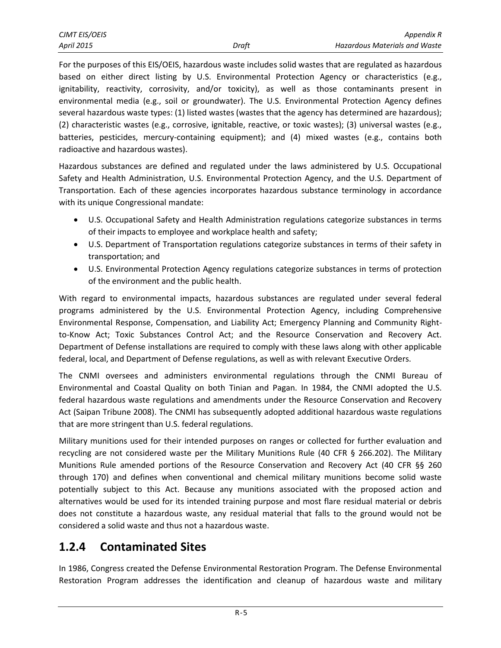For the purposes of this EIS/OEIS, hazardous waste includes solid wastes that are regulated as hazardous based on either direct listing by U.S. Environmental Protection Agency or characteristics (e.g., ignitability, reactivity, corrosivity, and/or toxicity), as well as those contaminants present in environmental media (e.g., soil or groundwater). The U.S. Environmental Protection Agency defines several hazardous waste types: (1) listed wastes (wastes that the agency has determined are hazardous); (2) characteristic wastes (e.g., corrosive, ignitable, reactive, or toxic wastes); (3) universal wastes (e.g., batteries, pesticides, mercury-containing equipment); and (4) mixed wastes (e.g., contains both radioactive and hazardous wastes).

Hazardous substances are defined and regulated under the laws administered by U.S. Occupational Safety and Health Administration, U.S. Environmental Protection Agency, and the U.S. Department of Transportation. Each of these agencies incorporates hazardous substance terminology in accordance with its unique Congressional mandate:

- U.S. Occupational Safety and Health Administration regulations categorize substances in terms of their impacts to employee and workplace health and safety;
- U.S. Department of Transportation regulations categorize substances in terms of their safety in transportation; and
- U.S. Environmental Protection Agency regulations categorize substances in terms of protection of the environment and the public health.

With regard to environmental impacts, hazardous substances are regulated under several federal programs administered by the U.S. Environmental Protection Agency, including Comprehensive Environmental Response, Compensation, and Liability Act; Emergency Planning and Community Rightto-Know Act; Toxic Substances Control Act; and the Resource Conservation and Recovery Act. Department of Defense installations are required to comply with these laws along with other applicable federal, local, and Department of Defense regulations, as well as with relevant Executive Orders.

The CNMI oversees and administers environmental regulations through the CNMI Bureau of Environmental and Coastal Quality on both Tinian and Pagan. In 1984, the CNMI adopted the U.S. federal hazardous waste regulations and amendments under the Resource Conservation and Recovery Act (Saipan Tribune 2008). The CNMI has subsequently adopted additional hazardous waste regulations that are more stringent than U.S. federal regulations.

Military munitions used for their intended purposes on ranges or collected for further evaluation and recycling are not considered waste per the Military Munitions Rule (40 CFR § 266.202). The Military Munitions Rule amended portions of the Resource Conservation and Recovery Act (40 CFR §§ 260 through 170) and defines when conventional and chemical military munitions become solid waste potentially subject to this Act. Because any munitions associated with the proposed action and alternatives would be used for its intended training purpose and most flare residual material or debris does not constitute a hazardous waste, any residual material that falls to the ground would not be considered a solid waste and thus not a hazardous waste.

#### <span id="page-6-0"></span>**1.2.4 Contaminated Sites**

In 1986, Congress created the Defense Environmental Restoration Program. The Defense Environmental Restoration Program addresses the identification and cleanup of hazardous waste and military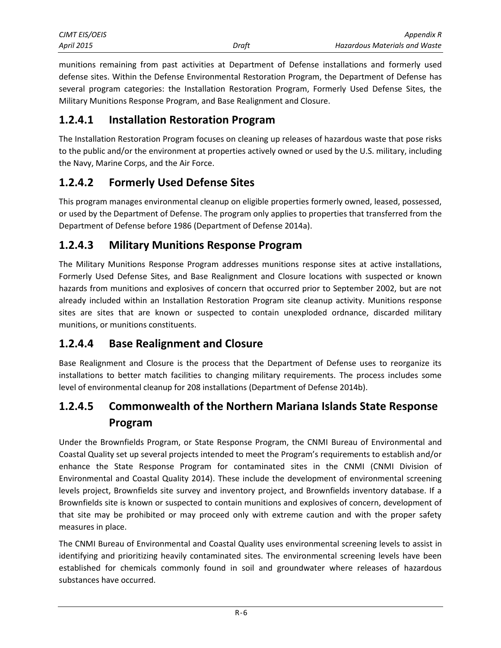| CJMT EIS/OEIS |       | Appendix R                           |
|---------------|-------|--------------------------------------|
| April 2015    | Draft | <b>Hazardous Materials and Waste</b> |

munitions remaining from past activities at Department of Defense installations and formerly used defense sites. Within the Defense Environmental Restoration Program, the Department of Defense has several program categories: the Installation Restoration Program, Formerly Used Defense Sites, the Military Munitions Response Program, and Base Realignment and Closure.

#### **1.2.4.1 Installation Restoration Program**

The Installation Restoration Program focuses on cleaning up releases of hazardous waste that pose risks to the public and/or the environment at properties actively owned or used by the U.S. military, including the Navy, Marine Corps, and the Air Force.

#### **1.2.4.2 Formerly Used Defense Sites**

This program manages environmental cleanup on eligible properties formerly owned, leased, possessed, or used by the Department of Defense. The program only applies to properties that transferred from the Department of Defense before 1986 (Department of Defense 2014a).

#### **1.2.4.3 Military Munitions Response Program**

The Military Munitions Response Program addresses munitions response sites at active installations, Formerly Used Defense Sites, and Base Realignment and Closure locations with suspected or known hazards from munitions and explosives of concern that occurred prior to September 2002, but are not already included within an Installation Restoration Program site cleanup activity. Munitions response sites are sites that are known or suspected to contain unexploded ordnance, discarded military munitions, or munitions constituents.

#### **1.2.4.4 Base Realignment and Closure**

Base Realignment and Closure is the process that the Department of Defense uses to reorganize its installations to better match facilities to changing military requirements. The process includes some level of environmental cleanup for 208 installations (Department of Defense 2014b).

#### **1.2.4.5 Commonwealth of the Northern Mariana Islands State Response Program**

Under the Brownfields Program, or State Response Program, the CNMI Bureau of Environmental and Coastal Quality set up several projects intended to meet the Program's requirements to establish and/or enhance the State Response Program for contaminated sites in the CNMI (CNMI Division of Environmental and Coastal Quality 2014). These include the development of environmental screening levels project, Brownfields site survey and inventory project, and Brownfields inventory database. If a Brownfields site is known or suspected to contain munitions and explosives of concern, development of that site may be prohibited or may proceed only with extreme caution and with the proper safety measures in place.

The CNMI Bureau of Environmental and Coastal Quality uses environmental screening levels to assist in identifying and prioritizing heavily contaminated sites. The environmental screening levels have been established for chemicals commonly found in soil and groundwater where releases of hazardous substances have occurred.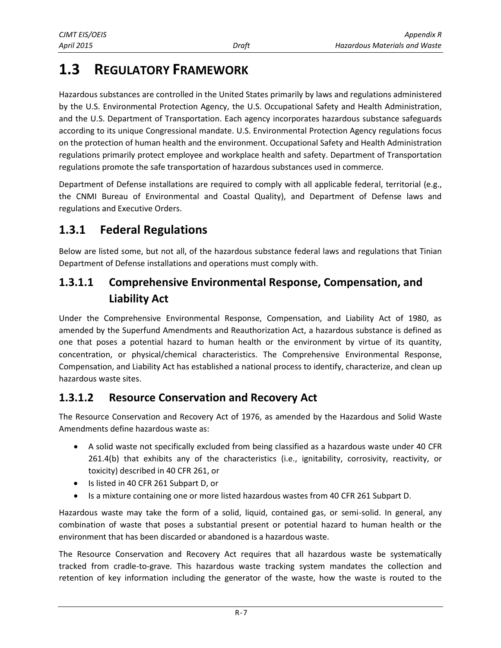### <span id="page-8-0"></span>**1.3 REGULATORY FRAMEWORK**

Hazardous substances are controlled in the United States primarily by laws and regulations administered by the U.S. Environmental Protection Agency, the U.S. Occupational Safety and Health Administration, and the U.S. Department of Transportation. Each agency incorporates hazardous substance safeguards according to its unique Congressional mandate. U.S. Environmental Protection Agency regulations focus on the protection of human health and the environment. Occupational Safety and Health Administration regulations primarily protect employee and workplace health and safety. Department of Transportation regulations promote the safe transportation of hazardous substances used in commerce.

Department of Defense installations are required to comply with all applicable federal, territorial (e.g., the CNMI Bureau of Environmental and Coastal Quality), and Department of Defense laws and regulations and Executive Orders.

#### <span id="page-8-1"></span>**1.3.1 Federal Regulations**

Below are listed some, but not all, of the hazardous substance federal laws and regulations that Tinian Department of Defense installations and operations must comply with.

#### **1.3.1.1 Comprehensive Environmental Response, Compensation, and Liability Act**

Under the Comprehensive Environmental Response, Compensation, and Liability Act of 1980, as amended by the Superfund Amendments and Reauthorization Act, a hazardous substance is defined as one that poses a potential hazard to human health or the environment by virtue of its quantity, concentration, or physical/chemical characteristics. The Comprehensive Environmental Response, Compensation, and Liability Act has established a national process to identify, characterize, and clean up hazardous waste sites.

#### <span id="page-8-2"></span>**1.3.1.2 Resource Conservation and Recovery Act**

The Resource Conservation and Recovery Act of 1976, as amended by the Hazardous and Solid Waste Amendments define hazardous waste as:

- A solid waste not specifically excluded from being classified as a hazardous waste under 40 CFR 261.4(b) that exhibits any of the characteristics (i.e., ignitability, corrosivity, reactivity, or toxicity) described in 40 CFR 261, or
- Is listed in 40 CFR 261 Subpart D, or
- Is a mixture containing one or more listed hazardous wastes from 40 CFR 261 Subpart D.

Hazardous waste may take the form of a solid, liquid, contained gas, or semi-solid. In general, any combination of waste that poses a substantial present or potential hazard to human health or the environment that has been discarded or abandoned is a hazardous waste.

The Resource Conservation and Recovery Act requires that all hazardous waste be systematically tracked from cradle-to-grave. This hazardous waste tracking system mandates the collection and retention of key information including the generator of the waste, how the waste is routed to the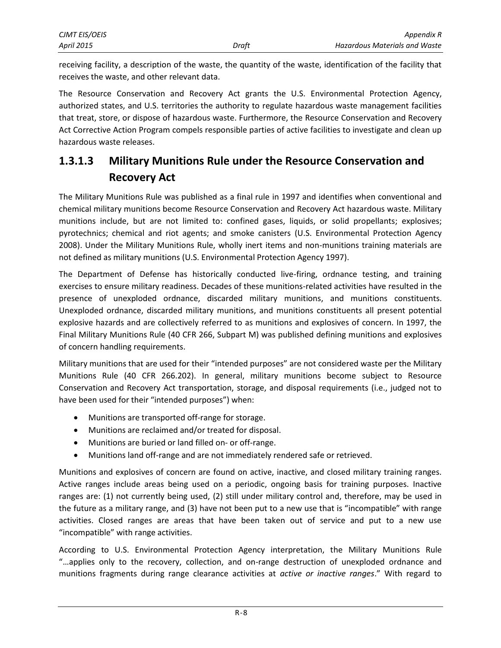receiving facility, a description of the waste, the quantity of the waste, identification of the facility that receives the waste, and other relevant data.

The Resource Conservation and Recovery Act grants the U.S. Environmental Protection Agency, authorized states, and U.S. territories the authority to regulate hazardous waste management facilities that treat, store, or dispose of hazardous waste. Furthermore, the Resource Conservation and Recovery Act Corrective Action Program compels responsible parties of active facilities to investigate and clean up hazardous waste releases.

#### **1.3.1.3 Military Munitions Rule under the Resource Conservation and Recovery Act**

The Military Munitions Rule was published as a final rule in 1997 and identifies when conventional and chemical military munitions become Resource Conservation and Recovery Act hazardous waste. Military munitions include, but are not limited to: confined gases, liquids, or solid propellants; explosives; pyrotechnics; chemical and riot agents; and smoke canisters (U.S. Environmental Protection Agency 2008). Under the Military Munitions Rule, wholly inert items and non-munitions training materials are not defined as military munitions (U.S. Environmental Protection Agency 1997).

The Department of Defense has historically conducted live-firing, ordnance testing, and training exercises to ensure military readiness. Decades of these munitions-related activities have resulted in the presence of unexploded ordnance, discarded military munitions, and munitions constituents. Unexploded ordnance, discarded military munitions, and munitions constituents all present potential explosive hazards and are collectively referred to as munitions and explosives of concern. In 1997, the Final Military Munitions Rule (40 CFR 266, Subpart M) was published defining munitions and explosives of concern handling requirements.

Military munitions that are used for their "intended purposes" are not considered waste per the Military Munitions Rule (40 CFR 266.202). In general, military munitions become subject to Resource Conservation and Recovery Act transportation, storage, and disposal requirements (i.e., judged not to have been used for their "intended purposes") when:

- Munitions are transported off-range for storage.
- Munitions are reclaimed and/or treated for disposal.
- Munitions are buried or land filled on- or off-range.
- Munitions land off-range and are not immediately rendered safe or retrieved.

Munitions and explosives of concern are found on active, inactive, and closed military training ranges. Active ranges include areas being used on a periodic, ongoing basis for training purposes. Inactive ranges are: (1) not currently being used, (2) still under military control and, therefore, may be used in the future as a military range, and (3) have not been put to a new use that is "incompatible" with range activities. Closed ranges are areas that have been taken out of service and put to a new use "incompatible" with range activities.

According to U.S. Environmental Protection Agency interpretation, the Military Munitions Rule "…applies only to the recovery, collection, and on-range destruction of unexploded ordnance and munitions fragments during range clearance activities at *active or inactive ranges*." With regard to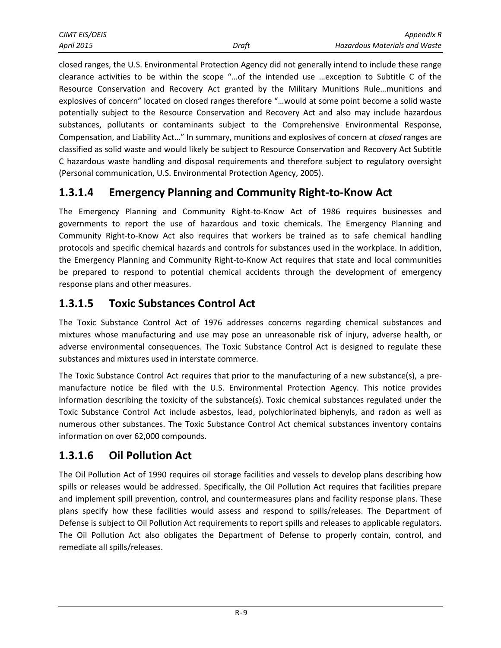closed ranges, the U.S. Environmental Protection Agency did not generally intend to include these range clearance activities to be within the scope "…of the intended use …exception to Subtitle C of the Resource Conservation and Recovery Act granted by the Military Munitions Rule…munitions and explosives of concern" located on closed ranges therefore "…would at some point become a solid waste potentially subject to the Resource Conservation and Recovery Act and also may include hazardous substances, pollutants or contaminants subject to the Comprehensive Environmental Response, Compensation, and Liability Act…" In summary, munitions and explosives of concern at *closed* ranges are classified as solid waste and would likely be subject to Resource Conservation and Recovery Act Subtitle C hazardous waste handling and disposal requirements and therefore subject to regulatory oversight (Personal communication, U.S. Environmental Protection Agency, 2005).

#### **1.3.1.4 Emergency Planning and Community Right-to-Know Act**

The Emergency Planning and Community Right-to-Know Act of 1986 requires businesses and governments to report the use of hazardous and toxic chemicals. The Emergency Planning and Community Right-to-Know Act also requires that workers be trained as to safe chemical handling protocols and specific chemical hazards and controls for substances used in the workplace. In addition, the Emergency Planning and Community Right-to-Know Act requires that state and local communities be prepared to respond to potential chemical accidents through the development of emergency response plans and other measures.

#### **1.3.1.5 Toxic Substances Control Act**

The Toxic Substance Control Act of 1976 addresses concerns regarding chemical substances and mixtures whose manufacturing and use may pose an unreasonable risk of injury, adverse health, or adverse environmental consequences. The Toxic Substance Control Act is designed to regulate these substances and mixtures used in interstate commerce.

The Toxic Substance Control Act requires that prior to the manufacturing of a new substance(s), a premanufacture notice be filed with the U.S. Environmental Protection Agency. This notice provides information describing the toxicity of the substance(s). Toxic chemical substances regulated under the Toxic Substance Control Act include asbestos, lead, polychlorinated biphenyls, and radon as well as numerous other substances. The Toxic Substance Control Act chemical substances inventory contains information on over 62,000 compounds.

#### **1.3.1.6 Oil Pollution Act**

The Oil Pollution Act of 1990 requires oil storage facilities and vessels to develop plans describing how spills or releases would be addressed. Specifically, the Oil Pollution Act requires that facilities prepare and implement spill prevention, control, and countermeasures plans and facility response plans. These plans specify how these facilities would assess and respond to spills/releases. The Department of Defense is subject to Oil Pollution Act requirements to report spills and releases to applicable regulators. The Oil Pollution Act also obligates the Department of Defense to properly contain, control, and remediate all spills/releases.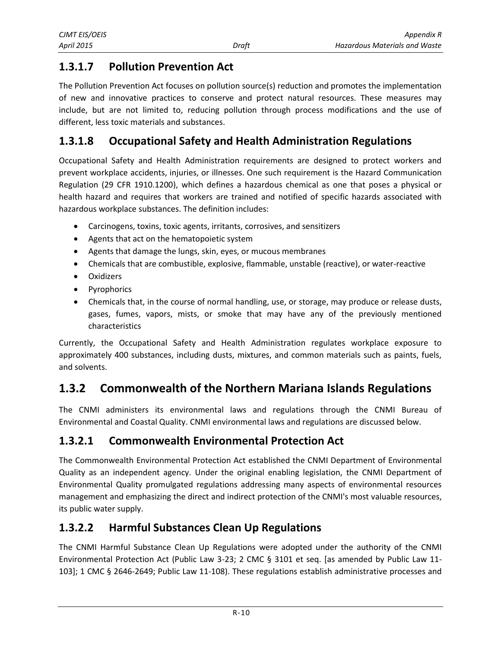#### **1.3.1.7 Pollution Prevention Act**

The Pollution Prevention Act focuses on pollution source(s) reduction and promotes the implementation of new and innovative practices to conserve and protect natural resources. These measures may include, but are not limited to, reducing pollution through process modifications and the use of different, less toxic materials and substances.

#### **1.3.1.8 Occupational Safety and Health Administration Regulations**

Occupational Safety and Health Administration requirements are designed to protect workers and prevent workplace accidents, injuries, or illnesses. One such requirement is the Hazard Communication Regulation (29 CFR 1910.1200), which defines a hazardous chemical as one that poses a physical or health hazard and requires that workers are trained and notified of specific hazards associated with hazardous workplace substances. The definition includes:

- Carcinogens, toxins, toxic agents, irritants, corrosives, and sensitizers
- Agents that act on the hematopoietic system
- Agents that damage the lungs, skin, eyes, or mucous membranes
- Chemicals that are combustible, explosive, flammable, unstable (reactive), or water-reactive
- Oxidizers
- Pyrophorics
- Chemicals that, in the course of normal handling, use, or storage, may produce or release dusts, gases, fumes, vapors, mists, or smoke that may have any of the previously mentioned characteristics

Currently, the Occupational Safety and Health Administration regulates workplace exposure to approximately 400 substances, including dusts, mixtures, and common materials such as paints, fuels, and solvents.

#### <span id="page-11-0"></span>**1.3.2 Commonwealth of the Northern Mariana Islands Regulations**

The CNMI administers its environmental laws and regulations through the CNMI Bureau of Environmental and Coastal Quality. CNMI environmental laws and regulations are discussed below.

#### **1.3.2.1 Commonwealth Environmental Protection Act**

The Commonwealth Environmental Protection Act established the CNMI Department of Environmental Quality as an independent agency. Under the original enabling legislation, the CNMI Department of Environmental Quality promulgated regulations addressing many aspects of environmental resources management and emphasizing the direct and indirect protection of the CNMI's most valuable resources, its public water supply.

#### **1.3.2.2 Harmful Substances Clean Up Regulations**

The CNMI Harmful Substance Clean Up Regulations were adopted under the authority of the CNMI Environmental Protection Act (Public Law 3-23; 2 CMC § 3101 et seq. [as amended by Public Law 11- 103]; 1 CMC § 2646-2649; Public Law 11-108). These regulations establish administrative processes and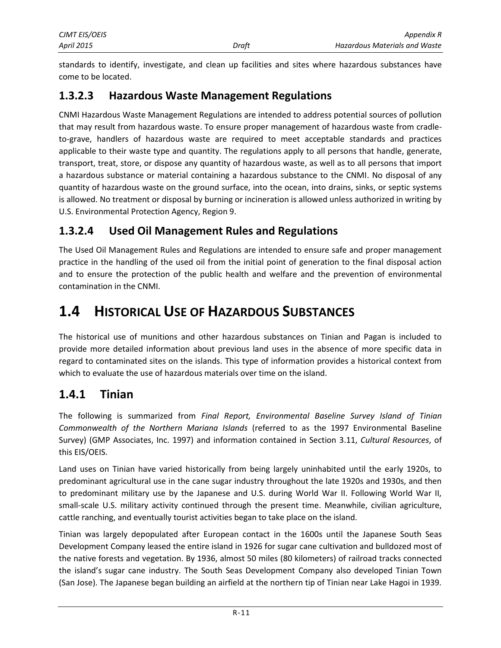standards to identify, investigate, and clean up facilities and sites where hazardous substances have come to be located.

#### **1.3.2.3 Hazardous Waste Management Regulations**

CNMI Hazardous Waste Management Regulations are intended to address potential sources of pollution that may result from hazardous waste. To ensure proper management of hazardous waste from cradleto-grave, handlers of hazardous waste are required to meet acceptable standards and practices applicable to their waste type and quantity. The regulations apply to all persons that handle, generate, transport, treat, store, or dispose any quantity of hazardous waste, as well as to all persons that import a hazardous substance or material containing a hazardous substance to the CNMI. No disposal of any quantity of hazardous waste on the ground surface, into the ocean, into drains, sinks, or septic systems is allowed. No treatment or disposal by burning or incineration is allowed unless authorized in writing by U.S. Environmental Protection Agency, Region 9.

#### **1.3.2.4 Used Oil Management Rules and Regulations**

The Used Oil Management Rules and Regulations are intended to ensure safe and proper management practice in the handling of the used oil from the initial point of generation to the final disposal action and to ensure the protection of the public health and welfare and the prevention of environmental contamination in the CNMI.

### <span id="page-12-0"></span>**1.4 HISTORICAL USE OF HAZARDOUS SUBSTANCES**

The historical use of munitions and other hazardous substances on Tinian and Pagan is included to provide more detailed information about previous land uses in the absence of more specific data in regard to contaminated sites on the islands. This type of information provides a historical context from which to evaluate the use of hazardous materials over time on the island.

#### <span id="page-12-1"></span>**1.4.1 Tinian**

The following is summarized from *Final Report, Environmental Baseline Survey Island of Tinian Commonwealth of the Northern Mariana Islands* (referred to as the 1997 Environmental Baseline Survey) (GMP Associates, Inc. 1997) and information contained in Section 3.11, *Cultural Resources*, of this EIS/OEIS.

Land uses on Tinian have varied historically from being largely uninhabited until the early 1920s, to predominant agricultural use in the cane sugar industry throughout the late 1920s and 1930s, and then to predominant military use by the Japanese and U.S. during World War II. Following World War II, small-scale U.S. military activity continued through the present time. Meanwhile, civilian agriculture, cattle ranching, and eventually tourist activities began to take place on the island.

Tinian was largely depopulated after European contact in the 1600s until the Japanese South Seas Development Company leased the entire island in 1926 for sugar cane cultivation and bulldozed most of the native forests and vegetation. By 1936, almost 50 miles (80 kilometers) of railroad tracks connected the island's sugar cane industry. The South Seas Development Company also developed Tinian Town (San Jose). The Japanese began building an airfield at the northern tip of Tinian near Lake Hagoi in 1939.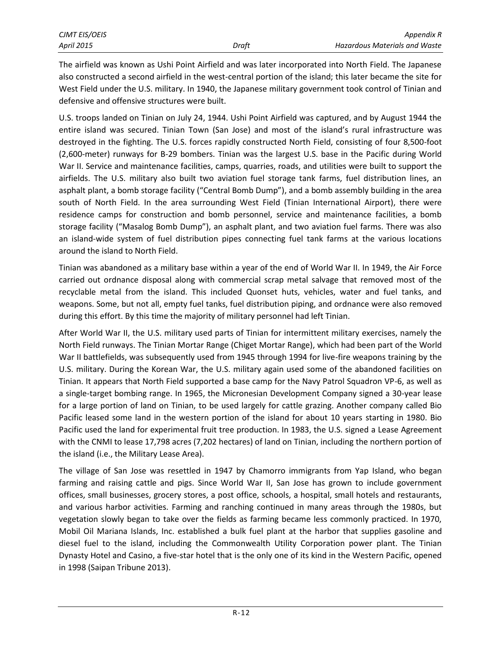The airfield was known as Ushi Point Airfield and was later incorporated into North Field. The Japanese also constructed a second airfield in the west-central portion of the island; this later became the site for West Field under the U.S. military. In 1940, the Japanese military government took control of Tinian and defensive and offensive structures were built.

U.S. troops landed on Tinian on July 24, 1944. Ushi Point Airfield was captured, and by August 1944 the entire island was secured. Tinian Town (San Jose) and most of the island's rural infrastructure was destroyed in the fighting. The U.S. forces rapidly constructed North Field, consisting of four 8,500-foot (2,600-meter) runways for B-29 bombers. Tinian was the largest U.S. base in the Pacific during World War II. Service and maintenance facilities, camps, quarries, roads, and utilities were built to support the airfields. The U.S. military also built two aviation fuel storage tank farms, fuel distribution lines, an asphalt plant, a bomb storage facility ("Central Bomb Dump"), and a bomb assembly building in the area south of North Field. In the area surrounding West Field (Tinian International Airport), there were residence camps for construction and bomb personnel, service and maintenance facilities, a bomb storage facility ("Masalog Bomb Dump"), an asphalt plant, and two aviation fuel farms. There was also an island-wide system of fuel distribution pipes connecting fuel tank farms at the various locations around the island to North Field.

Tinian was abandoned as a military base within a year of the end of World War II. In 1949, the Air Force carried out ordnance disposal along with commercial scrap metal salvage that removed most of the recyclable metal from the island. This included Quonset huts, vehicles, water and fuel tanks, and weapons. Some, but not all, empty fuel tanks, fuel distribution piping, and ordnance were also removed during this effort. By this time the majority of military personnel had left Tinian.

After World War II, the U.S. military used parts of Tinian for intermittent military exercises, namely the North Field runways. The Tinian Mortar Range (Chiget Mortar Range), which had been part of the World War II battlefields, was subsequently used from 1945 through 1994 for live-fire weapons training by the U.S. military. During the Korean War, the U.S. military again used some of the abandoned facilities on Tinian. It appears that North Field supported a base camp for the Navy Patrol Squadron VP-6, as well as a single-target bombing range. In 1965, the Micronesian Development Company signed a 30-year lease for a large portion of land on Tinian, to be used largely for cattle grazing. Another company called Bio Pacific leased some land in the western portion of the island for about 10 years starting in 1980. Bio Pacific used the land for experimental fruit tree production. In 1983, the U.S. signed a Lease Agreement with the CNMI to lease 17,798 acres (7,202 hectares) of land on Tinian, including the northern portion of the island (i.e., the Military Lease Area).

The village of San Jose was resettled in 1947 by Chamorro immigrants from Yap Island, who began farming and raising cattle and pigs. Since World War II, San Jose has grown to include government offices, small businesses, grocery stores, a post office, schools, a hospital, small hotels and restaurants, and various harbor activities. Farming and ranching continued in many areas through the 1980s, but vegetation slowly began to take over the fields as farming became less commonly practiced. In 1970, Mobil Oil Mariana Islands, Inc. established a bulk fuel plant at the harbor that supplies gasoline and diesel fuel to the island, including the Commonwealth Utility Corporation power plant. The Tinian Dynasty Hotel and Casino, a five-star hotel that is the only one of its kind in the Western Pacific, opened in 1998 (Saipan Tribune 2013).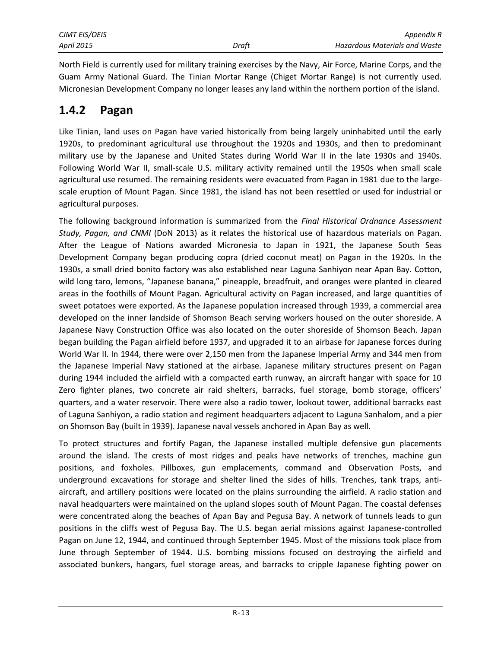North Field is currently used for military training exercises by the Navy, Air Force, Marine Corps, and the Guam Army National Guard. The Tinian Mortar Range (Chiget Mortar Range) is not currently used. Micronesian Development Company no longer leases any land within the northern portion of the island.

#### <span id="page-14-0"></span>**1.4.2 Pagan**

Like Tinian, land uses on Pagan have varied historically from being largely uninhabited until the early 1920s, to predominant agricultural use throughout the 1920s and 1930s, and then to predominant military use by the Japanese and United States during World War II in the late 1930s and 1940s. Following World War II, small-scale U.S. military activity remained until the 1950s when small scale agricultural use resumed. The remaining residents were evacuated from Pagan in 1981 due to the largescale eruption of Mount Pagan. Since 1981, the island has not been resettled or used for industrial or agricultural purposes.

The following background information is summarized from the *Final Historical Ordnance Assessment Study, Pagan, and CNMI* (DoN 2013) as it relates the historical use of hazardous materials on Pagan. After the League of Nations awarded Micronesia to Japan in 1921, the Japanese South Seas Development Company began producing copra (dried coconut meat) on Pagan in the 1920s. In the 1930s, a small dried bonito factory was also established near Laguna Sanhiyon near Apan Bay. Cotton, wild long taro, lemons, "Japanese banana," pineapple, breadfruit, and oranges were planted in cleared areas in the foothills of Mount Pagan. Agricultural activity on Pagan increased, and large quantities of sweet potatoes were exported. As the Japanese population increased through 1939, a commercial area developed on the inner landside of Shomson Beach serving workers housed on the outer shoreside. A Japanese Navy Construction Office was also located on the outer shoreside of Shomson Beach. Japan began building the Pagan airfield before 1937, and upgraded it to an airbase for Japanese forces during World War II. In 1944, there were over 2,150 men from the Japanese Imperial Army and 344 men from the Japanese Imperial Navy stationed at the airbase. Japanese military structures present on Pagan during 1944 included the airfield with a compacted earth runway, an aircraft hangar with space for 10 Zero fighter planes, two concrete air raid shelters, barracks, fuel storage, bomb storage, officers' quarters, and a water reservoir. There were also a radio tower, lookout tower, additional barracks east of Laguna Sanhiyon, a radio station and regiment headquarters adjacent to Laguna Sanhalom, and a pier on Shomson Bay (built in 1939). Japanese naval vessels anchored in Apan Bay as well.

To protect structures and fortify Pagan, the Japanese installed multiple defensive gun placements around the island. The crests of most ridges and peaks have networks of trenches, machine gun positions, and foxholes. Pillboxes, gun emplacements, command and Observation Posts, and underground excavations for storage and shelter lined the sides of hills. Trenches, tank traps, antiaircraft, and artillery positions were located on the plains surrounding the airfield. A radio station and naval headquarters were maintained on the upland slopes south of Mount Pagan. The coastal defenses were concentrated along the beaches of Apan Bay and Pegusa Bay. A network of tunnels leads to gun positions in the cliffs west of Pegusa Bay. The U.S. began aerial missions against Japanese-controlled Pagan on June 12, 1944, and continued through September 1945. Most of the missions took place from June through September of 1944. U.S. bombing missions focused on destroying the airfield and associated bunkers, hangars, fuel storage areas, and barracks to cripple Japanese fighting power on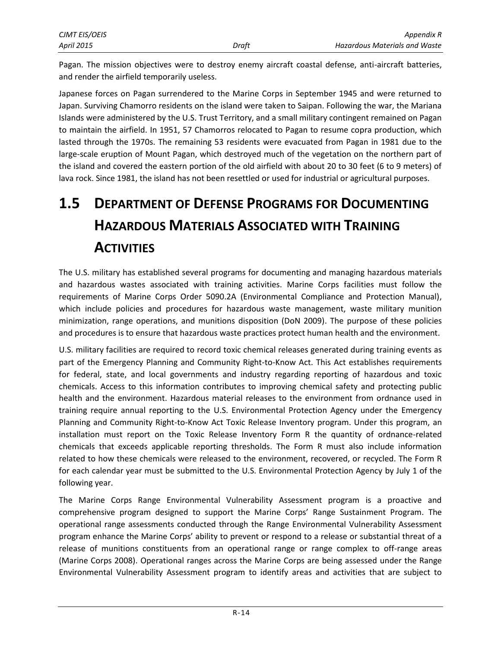Pagan. The mission objectives were to destroy enemy aircraft coastal defense, anti-aircraft batteries, and render the airfield temporarily useless.

Japanese forces on Pagan surrendered to the Marine Corps in September 1945 and were returned to Japan. Surviving Chamorro residents on the island were taken to Saipan. Following the war, the Mariana Islands were administered by the U.S. Trust Territory, and a small military contingent remained on Pagan to maintain the airfield. In 1951, 57 Chamorros relocated to Pagan to resume copra production, which lasted through the 1970s. The remaining 53 residents were evacuated from Pagan in 1981 due to the large-scale eruption of Mount Pagan, which destroyed much of the vegetation on the northern part of the island and covered the eastern portion of the old airfield with about 20 to 30 feet (6 to 9 meters) of lava rock. Since 1981, the island has not been resettled or used for industrial or agricultural purposes.

## <span id="page-15-0"></span>**1.5 DEPARTMENT OF DEFENSE PROGRAMS FOR DOCUMENTING HAZARDOUS MATERIALS ASSOCIATED WITH TRAINING ACTIVITIES**

The U.S. military has established several programs for documenting and managing hazardous materials and hazardous wastes associated with training activities. Marine Corps facilities must follow the requirements of Marine Corps Order 5090.2A (Environmental Compliance and Protection Manual), which include policies and procedures for hazardous waste management, waste military munition minimization, range operations, and munitions disposition (DoN 2009). The purpose of these policies and procedures is to ensure that hazardous waste practices protect human health and the environment.

U.S. military facilities are required to record toxic chemical releases generated during training events as part of the Emergency Planning and Community Right-to-Know Act. This Act establishes requirements for federal, state, and local governments and industry regarding reporting of hazardous and toxic chemicals. Access to this information contributes to improving chemical safety and protecting public health and the environment. Hazardous material releases to the environment from ordnance used in training require annual reporting to the U.S. Environmental Protection Agency under the Emergency Planning and Community Right-to-Know Act Toxic Release Inventory program. Under this program, an installation must report on the Toxic Release Inventory Form R the quantity of ordnance-related chemicals that exceeds applicable reporting thresholds. The Form R must also include information related to how these chemicals were released to the environment, recovered, or recycled. The Form R for each calendar year must be submitted to the U.S. Environmental Protection Agency by July 1 of the following year.

The Marine Corps Range Environmental Vulnerability Assessment program is a proactive and comprehensive program designed to support the Marine Corps' Range Sustainment Program. The operational range assessments conducted through the Range Environmental Vulnerability Assessment program enhance the Marine Corps' ability to prevent or respond to a release or substantial threat of a release of munitions constituents from an operational range or range complex to off-range areas (Marine Corps 2008). Operational ranges across the Marine Corps are being assessed under the Range Environmental Vulnerability Assessment program to identify areas and activities that are subject to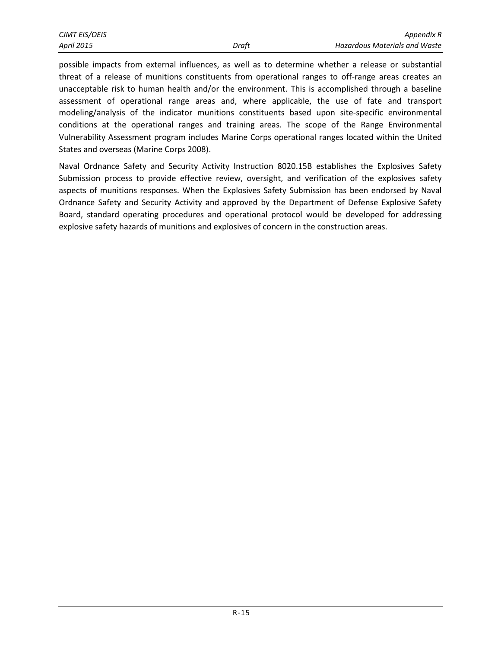possible impacts from external influences, as well as to determine whether a release or substantial threat of a release of munitions constituents from operational ranges to off-range areas creates an unacceptable risk to human health and/or the environment. This is accomplished through a baseline assessment of operational range areas and, where applicable, the use of fate and transport modeling/analysis of the indicator munitions constituents based upon site-specific environmental conditions at the operational ranges and training areas. The scope of the Range Environmental Vulnerability Assessment program includes Marine Corps operational ranges located within the United States and overseas (Marine Corps 2008).

Naval Ordnance Safety and Security Activity Instruction 8020.15B establishes the Explosives Safety Submission process to provide effective review, oversight, and verification of the explosives safety aspects of munitions responses. When the Explosives Safety Submission has been endorsed by Naval Ordnance Safety and Security Activity and approved by the Department of Defense Explosive Safety Board, standard operating procedures and operational protocol would be developed for addressing explosive safety hazards of munitions and explosives of concern in the construction areas.